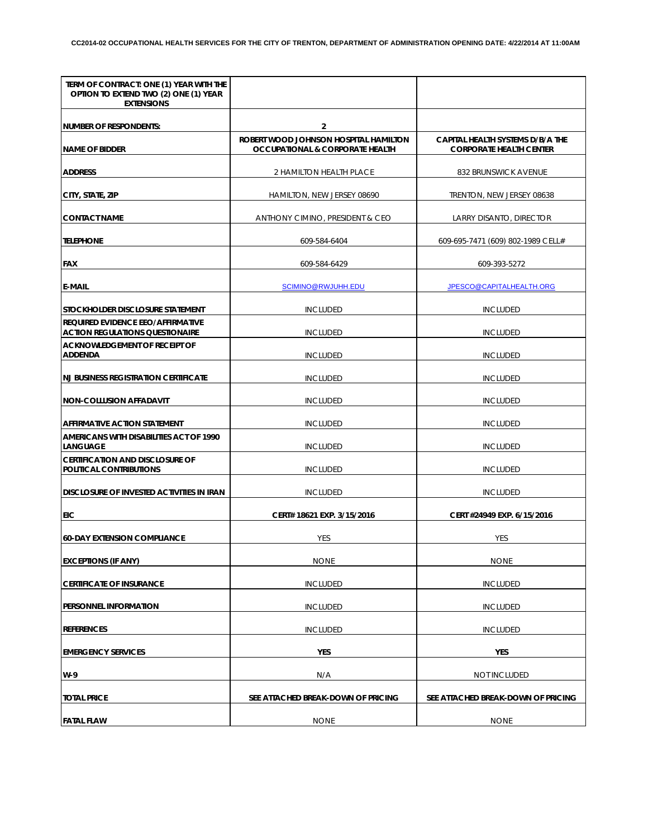| TERM OF CONTRACT: ONE (1) YEAR WITH THE<br>OPTION TO EXTEND TWO (2) ONE (1) YEAR<br><b>EXTENSIONS</b> |                                                                                     |                                                                    |
|-------------------------------------------------------------------------------------------------------|-------------------------------------------------------------------------------------|--------------------------------------------------------------------|
| <b>NUMBER OF RESPONDENTS:</b>                                                                         | $\overline{2}$                                                                      |                                                                    |
| <b>NAME OF BIDDER</b>                                                                                 | ROBERT WOOD JOHNSON HOSPITAL HAMILTON<br><b>OCCUPATIONAL &amp; CORPORATE HEALTH</b> | CAPITAL HEALTH SYSTEMS D/B/A THE<br><b>CORPORATE HEALTH CENTER</b> |
| <b>ADDRESS</b>                                                                                        | 2 HAMILTON HEALTH PLACE                                                             | 832 BRUNSWICK AVENUE                                               |
| CITY, STATE, ZIP                                                                                      | HAMILTON, NEW JERSEY 08690                                                          | TRENTON, NEW JERSEY 08638                                          |
| <b>CONTACT NAME</b>                                                                                   | ANTHONY CIMINO, PRESIDENT & CEO                                                     | LARRY DISANTO, DIRECTOR                                            |
| <b>TELEPHONE</b>                                                                                      | 609-584-6404                                                                        | 609-695-7471 (609) 802-1989 CELL#                                  |
| <b>FAX</b>                                                                                            | 609-584-6429                                                                        | 609-393-5272                                                       |
| <b>E-MAIL</b>                                                                                         | SCIMINO@RWJUHH.EDU                                                                  | JPESCO@CAPITALHEALTH.ORG                                           |
| STOCKHOLDER DISCLOSURE STATEMENT                                                                      | <b>INCLUDED</b>                                                                     | <b>INCLUDED</b>                                                    |
| REQUIRED EVIDENCE EEO/AFFIRMATIVE<br><b>ACTION REGULATIONS QUESTIONAIRE</b>                           | <b>INCLUDED</b>                                                                     | <b>INCLUDED</b>                                                    |
| ACKNOWLEDGEMENT OF RECEIPT OF<br><b>ADDENDA</b>                                                       | <b>INCLUDED</b>                                                                     | <b>INCLUDED</b>                                                    |
| <b>NJ BUSINESS REGISTRATION CERTIFICATE</b>                                                           | <b>INCLUDED</b>                                                                     | <b>INCLUDED</b>                                                    |
| <b>NON-COLLUSION AFFADAVIT</b>                                                                        | <b>INCLUDED</b>                                                                     | <b>INCLUDED</b>                                                    |
| <b>AFFIRMATIVE ACTION STATEMENT</b>                                                                   | <b>INCLUDED</b>                                                                     | <b>INCLUDED</b>                                                    |
| AMERICANS WITH DISABILITIES ACT OF 1990<br><b>LANGUAGE</b>                                            | <b>INCLUDED</b>                                                                     | <b>INCLUDED</b>                                                    |
| <b>CERTIFICATION AND DISCLOSURE OF</b><br>POLITICAL CONTRIBUTIONS                                     | <b>INCLUDED</b>                                                                     | <b>INCLUDED</b>                                                    |
| <b>DISCLOSURE OF INVESTED ACTIVITIES IN IRAN</b>                                                      | <b>INCLUDED</b>                                                                     | <b>INCLUDED</b>                                                    |
| EIC                                                                                                   | CERT# 18621 EXP. 3/15/2016                                                          | CERT #24949 EXP. 6/15/2016                                         |
| <b>60-DAY EXTENSION COMPLIANCE</b>                                                                    | YES                                                                                 | YES                                                                |
| <b>EXCEPTIONS (IF ANY)</b>                                                                            | <b>NONE</b>                                                                         | <b>NONE</b>                                                        |
| <b>CERTIFICATE OF INSURANCE</b>                                                                       | <b>INCLUDED</b>                                                                     | <b>INCLUDED</b>                                                    |
| PERSONNEL INFORMATION                                                                                 | <b>INCLUDED</b>                                                                     | <b>INCLUDED</b>                                                    |
| <b>REFERENCES</b>                                                                                     | <b>INCLUDED</b>                                                                     | <b>INCLUDED</b>                                                    |
| <b>EMERGENCY SERVICES</b>                                                                             | YES                                                                                 | YES                                                                |
| W-9                                                                                                   | N/A                                                                                 | NOT INCLUDED                                                       |
| <b>TOTAL PRICE</b>                                                                                    | SEE ATTACHED BREAK-DOWN OF PRICING                                                  | SEE ATTACHED BREAK-DOWN OF PRICING                                 |
| <b>FATAL FLAW</b>                                                                                     | <b>NONE</b>                                                                         | <b>NONE</b>                                                        |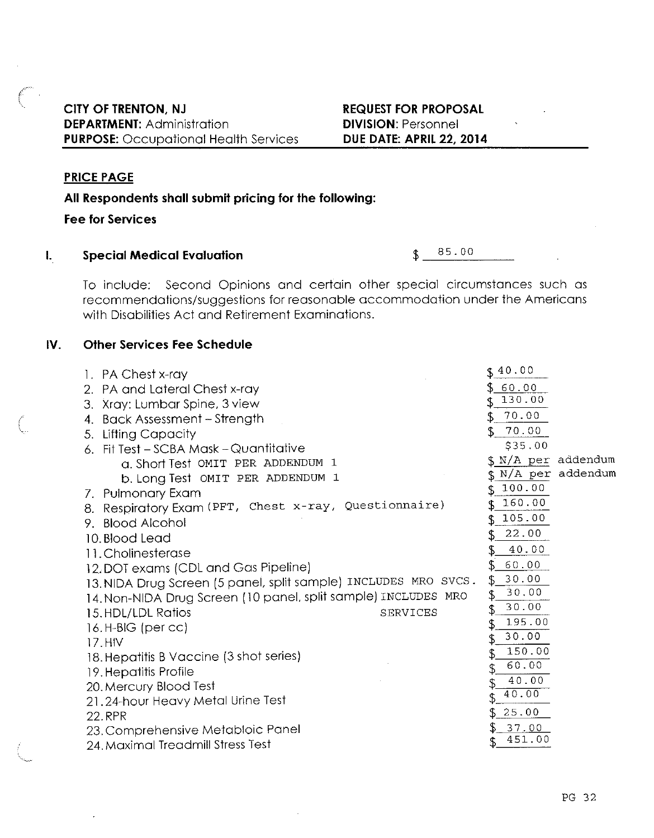#### **PRICE PAGE**

#### All Respondents shall submit pricing for the following:

**Fee for Services** 

#### $\mathbf{L}$ **Special Medical Evaluation**

85.00  $\mathcal{F}$ 

To include: Second Opinions and certain other special circumstances such as recommendations/suggestions for reasonable accommodation under the Americans with Disabilities Act and Retirement Examinations.

#### IV. **Other Services Fee Schedule**

| 1. PA Chest x-ray                                               | \$40.00                |
|-----------------------------------------------------------------|------------------------|
| 2. PA and Lateral Chest x-ray                                   | 60.00                  |
| 3. Xray: Lumbar Spine, 3 view                                   | 130.00                 |
| 4. Back Assessment – Strength                                   | 70.00<br>$\mathcal{L}$ |
| 5. Lifting Capacity                                             | 70.00<br>\$            |
| 6. Fit Test - SCBA Mask - Quantitative                          | \$35.00                |
| G. Short Test OMIT PER ADDENDUM 1                               | \$ N/A per addendum    |
| b. Long Test OMIT PER ADDENDUM 1                                | \$ N/A per addendum    |
| 7. Pulmonary Exam                                               | 100.00                 |
| 8. Respiratory Exam (PFT, Chest x-ray, Questionnaire)           | 160.00                 |
| 9. Blood Alcohol                                                | 105.00                 |
| 10. Blood Lead                                                  | 22.00                  |
| 11. Cholinesterase                                              | 40.00                  |
| 12. DOT exams (CDL and Gas Pipeline)                            | 60.00                  |
| 13. NIDA Drug Screen (5 panel, split sample) INCLUDES MRO SVCS. | 30.00<br>\$            |
| 14. Non-NIDA Drug Screen (10 panel, split sample) INCLUDES MRO  | 30.00                  |
| 15. HDL/LDL Ratios<br>SERVICES                                  | 30.00<br>\$            |
| 16.H-BIG (per cc)                                               | 195.00                 |
| 17.HIV                                                          | 30.00<br>\$            |
| 18. Hepatitis B Vaccine (3 shot series)                         | 150.00                 |
| 19. Hepatitis Profile                                           | 60.00                  |
| 20. Mercury Blood Test                                          | 40.00                  |
| 21.24-hour Heavy Metal Urine Test                               | 40.00                  |
| 22.RPR                                                          | 25.00                  |
| 23. Comprehensive Metabloic Panel                               | 37.00                  |
| 24. Maximal Treadmill Stress Test                               | 451.00                 |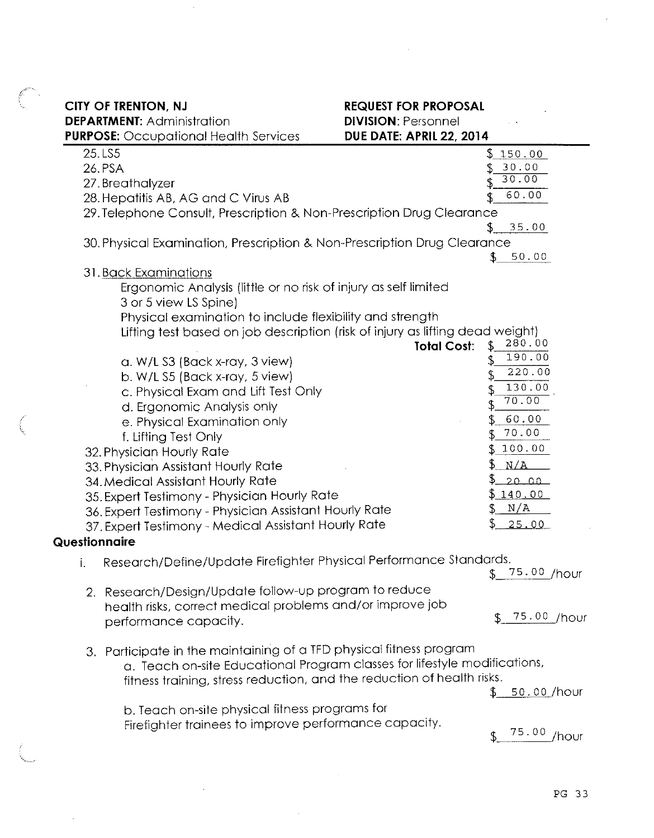|  | <b>CITY OF TRENTON, NJ</b> |                                   |
|--|----------------------------|-----------------------------------|
|  |                            | <b>DEPARTMENT:</b> Administration |

 $\sim$ 

 $\alpha$ 

 $\sim$   $\sim$ 

# **REQUEST FOR PROPOSAL**

 $\sim 10^7$ 

**REQUEST FOR PROPOSAL<br>DIVISION:** Personnel

|    | <b>៶……………</b> ……………<br><b>PURPOSE:</b> Occupational Health Services           | וטוויוטטוס ברשמי<br><b>DUE DATE: APRIL 22, 2014</b> |
|----|-------------------------------------------------------------------------------|-----------------------------------------------------|
|    | 25.LS5                                                                        | <u>\$150.00</u>                                     |
|    | 26.PSA                                                                        | 30.00                                               |
|    | 27. Breathalyzer                                                              | 30.00                                               |
|    | 28. Hepatitis AB, AG and C Virus AB                                           | 60.00                                               |
|    | 29. Telephone Consult, Prescription & Non-Prescription Drug Clearance         |                                                     |
|    |                                                                               | 35.00                                               |
|    | 30. Physical Examination, Prescription & Non-Prescription Drug Clearance      |                                                     |
|    |                                                                               | 50.00                                               |
|    | 31. Back Examinations                                                         |                                                     |
|    | Ergonomic Analysis (little or no risk of injury as self limited               |                                                     |
|    | 3 or 5 view LS Spine)                                                         |                                                     |
|    | Physical examination to include flexibility and strength                      |                                                     |
|    | Lifting test based on job description (risk of injury as lifting dead weight) | 280.00                                              |
|    |                                                                               | <b>Total Cost:</b><br>190.00                        |
|    | a. W/L S3 (Back x-ray, 3 view)                                                | 220.00                                              |
|    | b. W/L S5 (Back x-ray, 5 view)                                                |                                                     |
|    | c. Physical Exam and Lift Test Only                                           | 130.00<br>70.00                                     |
|    | d. Ergonomic Analysis only                                                    |                                                     |
|    | e. Physical Examination only                                                  | 60.00                                               |
|    | f. Lifting Test Only                                                          | 70.00                                               |
|    | 32. Physician Hourly Rate                                                     | 100.00                                              |
|    | 33. Physician Assistant Hourly Rate                                           | N/A                                                 |
|    | 34. Medical Assistant Hourly Rate                                             | 20.00                                               |
|    | 35. Expert Testimony - Physician Hourly Rate                                  | \$ 140.00 <b>\$</b>                                 |
|    | 36. Expert Testimony - Physician Assistant Hourly Rate                        | N/A                                                 |
|    | 37. Expert Testimony - Medical Assistant Hourly Rate                          | 25.00                                               |
|    | Questionnaire                                                                 |                                                     |
|    | Research/Define/Update Firefighter Physical Performance Standards.            |                                                     |
| τ. |                                                                               | 75.00 /hour                                         |
|    |                                                                               |                                                     |
|    | 2. Research/Design/Update follow-up program to reduce                         |                                                     |
|    | health risks, correct medical problems and/or improve job                     | 75.00 /hour                                         |
|    | performance capacity.                                                         |                                                     |
|    | 3. Participate in the maintaining of a TFD physical fitness program           |                                                     |
|    | a. Teach on-site Educational Program classes for lifestyle modifications,     |                                                     |
|    | fitness training, stress reduction, and the reduction of health risks.        |                                                     |
|    |                                                                               | <u>50.00</u> /hour<br>\$.                           |
|    |                                                                               |                                                     |
|    | b. Teach on-site physical fitness programs for                                |                                                     |
|    | Firefighter trainees to improve performance capacity.                         | 75.00 /hour                                         |
|    |                                                                               |                                                     |
|    |                                                                               |                                                     |

 $\hat{\mathcal{A}}$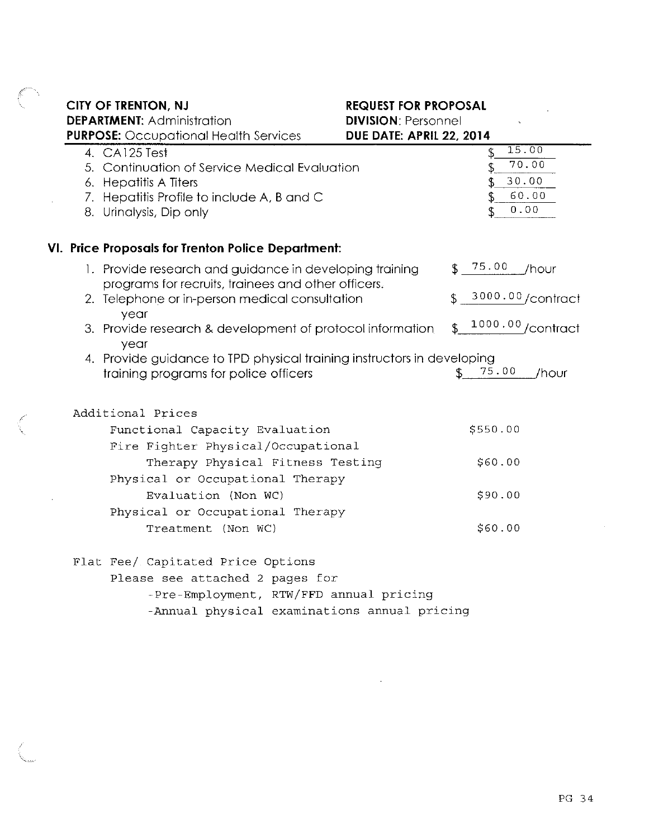**CITY OF TRENTON, NJ** 

**REQUEST FOR PROPOSAL** 

**DEPARTMENT: Administration DIVISION: Personnel PURPOSE:** Occupational Health Services DUE DATE: APRIL 22, 2014  $15.00$ 4. CA125 Test  $\mathbf{f}$  $70.00$ 5. Continuation of Service Medical Evaluation \$ 30.00 6. Hepatitis A Titers \$ 60.00 7. Hepatitis Profile to include A, B and C  $0.00.$ 8. Urinalysis, Dip only VI. Price Proposals for Trenton Police Department:  $$75.00$  /hour 1. Provide research and guidance in developing training programs for recruits, trainees and other officers. 3000.00/contract 2. Telephone or in-person medical consultation year  $$^{1000.00}$ /contract 3. Provide research & development of protocol information year 4. Provide guidance to TPD physical training instructors in developing  $$75.00$  /hour training programs for police officers Additional Prices Functional Capacity Evaluation \$550.00 Fire Fighter Physical/Occupational Therapy Physical Fitness Testing \$60.00 Physical or Occupational Therapy \$90.00 Evaluation (Non WC) Physical or Occupational Therapy

Treatment (Non WC)

Flat Fee/ Capitated Price Options

Please see attached 2 pages for

-Pre-Employment, RTW/FFD annual pricing

-Annual physical examinations annual pricing

\$60.00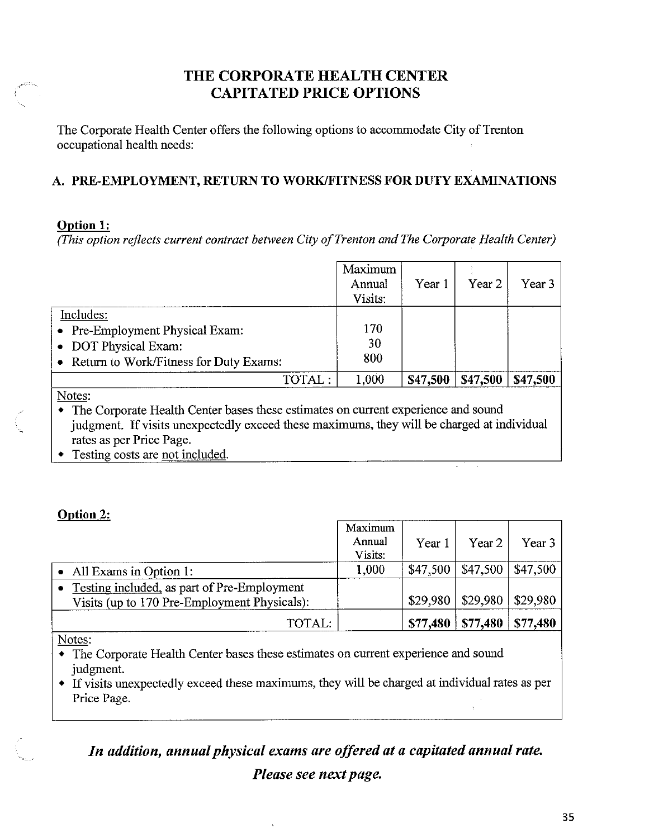# THE CORPORATE HEALTH CENTER **CAPITATED PRICE OPTIONS**

The Corporate Health Center offers the following options to accommodate City of Trenton occupational health needs:

# A. PRE-EMPLOYMENT, RETURN TO WORK/FITNESS FOR DUTY EXAMINATIONS

### **Option 1:**

(This option reflects current contract between City of Trenton and The Corporate Health Center)

|                                                                                                                  | Maximum<br>Annual<br>Visits: | Year 1   | Year <sub>2</sub> | Year 3   |
|------------------------------------------------------------------------------------------------------------------|------------------------------|----------|-------------------|----------|
| Includes:<br>• Pre-Employment Physical Exam:<br>• DOT Physical Exam:<br>• Return to Work/Fitness for Duty Exams: | 170<br>30<br>800             |          |                   |          |
| TOTAL:                                                                                                           | 1,000                        | \$47,500 | \$47,500          | \$47,500 |
| Notes:                                                                                                           |                              |          |                   |          |

The Corporate Health Center bases these estimates on current experience and sound judgment. If visits unexpectedly exceed these maximums, they will be charged at individual rates as per Price Page.

Testing costs are not included.

# Ontion 2:

|                                                                                             | Maximum<br>Annual<br>Visits: | Year 1   | Year 2                 | Year 3   |
|---------------------------------------------------------------------------------------------|------------------------------|----------|------------------------|----------|
| • All Exams in Option 1:                                                                    | 1,000                        | \$47,500 | $$47,500 \mid $47,500$ |          |
| Testing included, as part of Pre-Employment<br>Visits (up to 170 Pre-Employment Physicals): |                              | \$29,980 | $$29,980$   \$29,980   |          |
| TOTAL:                                                                                      |                              | \$77,480 | \$77,480               | \$77,480 |

Notes:

- The Corporate Health Center bases these estimates on current experience and sound judgment.
- If visits unexpectedly exceed these maximums, they will be charged at individual rates as per Price Page.

In addition, annual physical exams are offered at a capitated annual rate. Please see next page.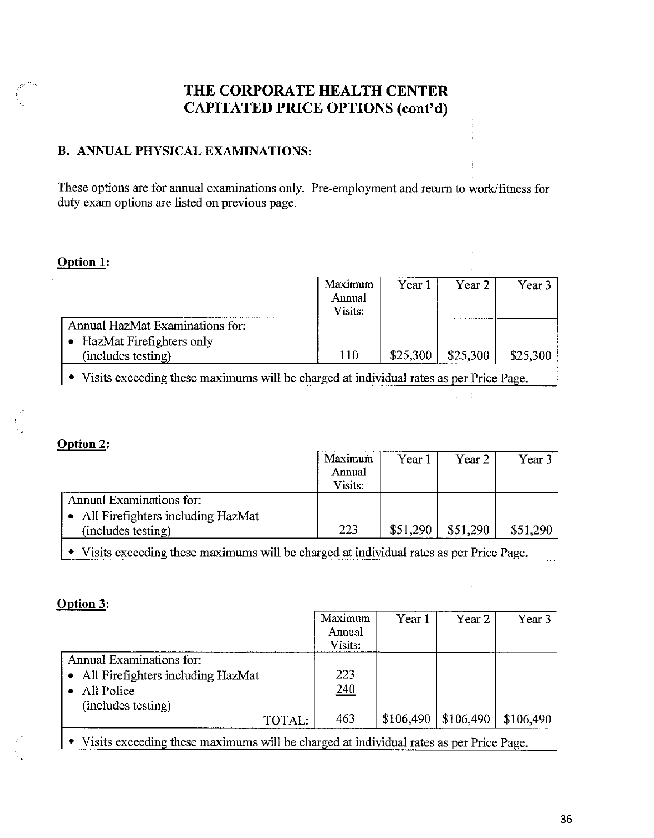# THE CORPORATE HEALTH CENTER **CAPITATED PRICE OPTIONS (cont'd)**

# **B. ANNUAL PHYSICAL EXAMINATIONS:**

These options are for annual examinations only. Pre-employment and return to work/fitness for duty exam options are listed on previous page.

#### Option 1:

|                                                                                          | Maximum<br>Annual<br>Visits: | Year 1   | Year 2   | Year 3   |
|------------------------------------------------------------------------------------------|------------------------------|----------|----------|----------|
| Annual HazMat Examinations for:<br>HazMat Firefighters only<br>(includes testing)        | 110                          | \$25,300 | \$25,300 | \$25,300 |
| • Visits exceeding these maximums will be charged at individual rates as per Price Page. |                              |          |          |          |

 $\mathbb{Z}^{\mathbb{Z}}$  ,  $\mathbb{Q}$ 

#### Option 2:

|                                                           | Maximum           | Year 1   | Year 2   | Year 3   |
|-----------------------------------------------------------|-------------------|----------|----------|----------|
|                                                           | Annual<br>Visits: |          |          |          |
| Annual Examinations for:                                  |                   |          |          |          |
| • All Firefighters including HazMat<br>(includes testing) | 223               | \$51,290 | \$51,290 | \$51,290 |

• Visits exceeding these maximums will be charged at individual rates as per Price Page.

### Option 3:

|                                                                                          | Maximum<br>Annual<br>Visits: | Year 1    | Year 2    | Year 3    |
|------------------------------------------------------------------------------------------|------------------------------|-----------|-----------|-----------|
| Annual Examinations for:                                                                 |                              |           |           |           |
| • All Firefighters including HazMat                                                      | 223                          |           |           |           |
| All Police<br>$\bullet$                                                                  | 240                          |           |           |           |
| (includes testing)                                                                       |                              |           |           |           |
| TOTAL:                                                                                   | 463                          | \$106,490 | \$106,490 | \$106,490 |
| • Visits exceeding these maximums will be charged at individual rates as per Price Page. |                              |           |           |           |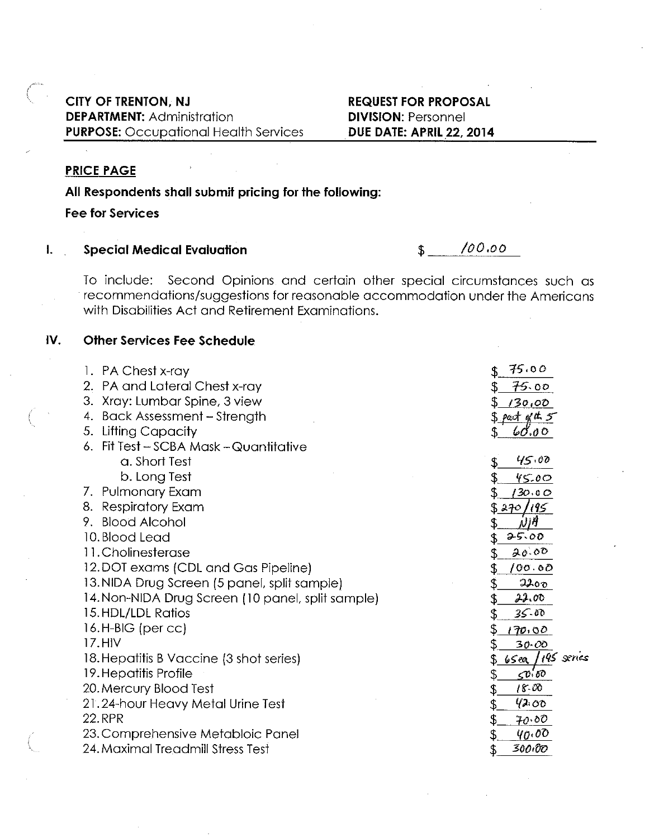## CITY OF TRENTON, NJ **DEPARTMENT: Administration PURPOSE:** Occupational Health Services

#### **REQUEST FOR PROPOSAL DIVISION: Personnel DUE DATE: APRIL 22, 2014**

## **PRICE PAGE**

# All Respondents shall submit pricing for the following:

**Fee for Services** 

 $\mathbf{L}$ **Special Medical Evaluation** 

 $100.00$  $\mathbb{S}$ 

To include: Second Opinions and certain other special circumstances such as recommendations/suggestions for reasonable accommodation under the Americans with Disabilities Act and Retirement Examinations.

#### IV. **Other Services Fee Schedule**

| 1. PA Chest x-ray                                 | 75.00                              |
|---------------------------------------------------|------------------------------------|
| 2. PA and Lateral Chest x-ray                     | 75.00                              |
| 3. Xray: Lumbar Spine, 3 view                     | 130,00                             |
| 4. Back Assessment - Strength                     | \$ part of the 5                   |
| 5. Lifting Capacity                               | 60.00                              |
| 6. Fit Test - SCBA Mask - Quantitative            |                                    |
| a. Short Test                                     | 45.00                              |
| b. Long Test                                      | 45.00                              |
| 7. Pulmonary Exam                                 | 130.00                             |
| 8. Respiratory Exam                               | \$270/195                          |
| 9. Blood Alcohol                                  | NM                                 |
| 10. Blood Lead                                    | 25.00<br>\$.                       |
| 11. Cholinesterase                                | 20.00                              |
| 12. DOT exams (CDL and Gas Pipeline)              | 100.00                             |
| 13. NIDA Drug Screen (5 panel, split sample)      | 2200                               |
| 14. Non-NIDA Drug Screen (10 panel, split sample) | 22.00<br>\$                        |
| 15. HDL/LDL Ratios                                | $35 - 00$<br>\$                    |
| 16.H-BIG (per $cc$ )                              | \$<br>170.00                       |
| 17.HIV                                            | $30 - 00$                          |
| 18. Hepatitis B Vaccine (3 shot series)           | 65ea / 195 series                  |
| 19. Hepatitis Profile                             | \$<br>$\mathcal{L}^{p, \text{co}}$ |
| 20. Mercury Blood Test                            | $18 - 00$<br>\$                    |
| 21.24-hour Heavy Metal Urine Test                 | 42.00<br>\$                        |
| <b>22.RPR</b>                                     | \$<br>70.00                        |
| 23. Comprehensive Metabloic Panel                 | $q_0$ ,00                          |
| 24. Maximal Treadmill Stress Test                 | 300,00                             |
|                                                   |                                    |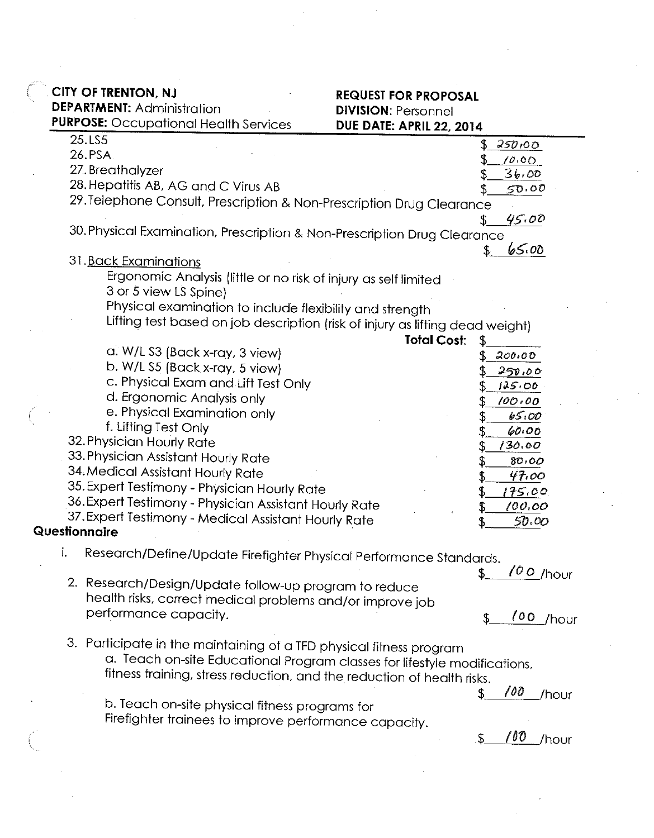|  |  | CITY OF TRENTON, NJ |  |  |
|--|--|---------------------|--|--|
|--|--|---------------------|--|--|

**DEPARTMENT: Administration** 

# **REQUEST FOR PROPOSAL DIVISION: Personnel** DUE DATE: APRIL 22 2014

|    | <b>PURPOSE:</b> Occupational Health Services                                  | <b>DUE DATE: APRIL 22, 2014</b> |              |
|----|-------------------------------------------------------------------------------|---------------------------------|--------------|
|    | 25.LS5                                                                        |                                 | 250,00       |
|    | 26.PSA.                                                                       |                                 | 10.00        |
|    | 27. Breathalyzer                                                              |                                 | 36.00        |
|    | 28. Hepatitis AB, AG and C Virus AB                                           |                                 | 50.00        |
|    | 29. Telephone Consult, Prescription & Non-Prescription Drug Clearance         |                                 |              |
|    |                                                                               |                                 | 45.00        |
|    | 30. Physical Examination, Prescription & Non-Prescription Drug Clearance      |                                 |              |
|    | 31. Back Examinations                                                         |                                 | 65.00        |
|    | Ergonomic Analysis (little or no risk of injury as self limited               |                                 |              |
|    | 3 or 5 view LS Spine)                                                         |                                 |              |
|    | Physical examination to include flexibility and strength                      |                                 |              |
|    | Lifting test based on job description (risk of injury as lifting dead weight) |                                 |              |
|    |                                                                               | <b>Total Cost:</b>              |              |
|    | a. W/L S3 (Back x-ray, 3 view)                                                | £                               | 200.00       |
|    | b. W/L S5 (Back x-ray, 5 view)                                                |                                 |              |
|    | c. Physical Exam and Lift Test Only                                           |                                 | 250.00       |
|    | d. Ergonomic Analysis only                                                    |                                 | 125.00       |
|    | e. Physical Examination only                                                  |                                 | 100.00       |
|    | f. Lifting Test Only                                                          |                                 | 65.00        |
|    | 32. Physician Hourly Rate                                                     |                                 | 60.00        |
|    | 33. Physician Assistant Hourly Rate                                           |                                 | 130.00       |
|    | 34. Medical Assistant Hourly Rate                                             |                                 | 80.00        |
|    | 35. Expert Testimony - Physician Hourly Rate                                  |                                 | 47.00        |
|    | 36. Expert Testimony - Physician Assistant Hourly Rate                        |                                 | 175.00       |
|    | 37. Expert Testimony - Medical Assistant Hourly Rate                          | \$.                             | 100.00       |
|    | Questionnaire                                                                 |                                 | 50.00        |
| i. | Research/Define/Update Firefighter Physical Performance Standards.            |                                 |              |
|    |                                                                               |                                 |              |
|    | 2. Research/Design/Update follow-up program to reduce                         |                                 | $100$ /hour  |
|    | health risks, correct medical problems and/or improve job                     |                                 |              |
|    | performance capacity.                                                         |                                 |              |
|    |                                                                               |                                 | 100<br>/hour |
|    | 3. Participate in the maintaining of a TFD physical fitness program           |                                 |              |
|    | a. Teach on-site Educational Program classes for lifestyle modifications,     |                                 |              |
|    | fitness training, stress reduction, and the reduction of health risks.        |                                 |              |
|    |                                                                               |                                 | 100          |
|    | b. Teach on-site physical fitness programs for                                |                                 | /hour        |
|    | Firefighter trainees to improve performance capacity.                         |                                 |              |
|    |                                                                               |                                 | 100          |
|    |                                                                               | \$                              | /hour        |
|    |                                                                               |                                 |              |
|    |                                                                               |                                 |              |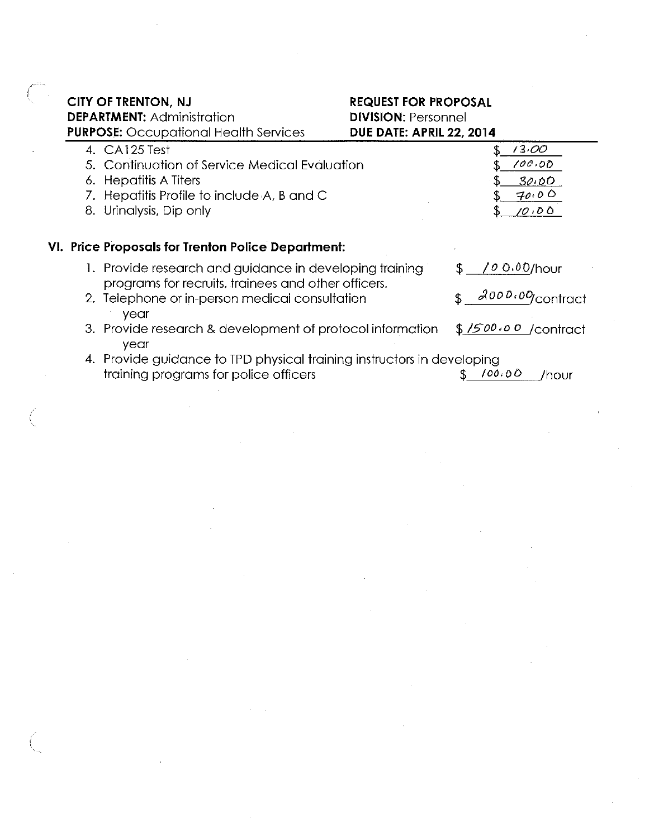| CITY OF TRENTON, NJ                          |  |
|----------------------------------------------|--|
| <b>DEPARTMENT: Administration</b>            |  |
| <b>PURPOSE:</b> Occupational Health Services |  |

| 4. CA125 Test                                                                                                  | 13.00                  |
|----------------------------------------------------------------------------------------------------------------|------------------------|
| 5. Continuation of Service Medical Evaluation                                                                  | 100.00                 |
| 6. Hepatitis A Titers                                                                                          | 30.00                  |
| 7. Hepatitis Profile to include A, B and C                                                                     | 70.00                  |
| 8. Urinalysis, Dip only                                                                                        | 10100                  |
|                                                                                                                |                        |
| VI. Price Proposals for Trenton Police Department:                                                             |                        |
| 1. Provide research and guidance in developing training<br>programs for recruits, trainees and other officers. | $0.00$ /hour           |
| 2. Telephone or in-person medical consultation                                                                 | $2000.00$ contract     |
| year                                                                                                           |                        |
| 3. Provide research & development of protocol information<br>year                                              | \$1500.00<br>/contract |
| 4. Provide guidance to TPD physical training instructors in developing                                         |                        |
|                                                                                                                |                        |

training programs for police officers

 $\ddot{\phantom{a}}$ 

 $$100.00$  /hour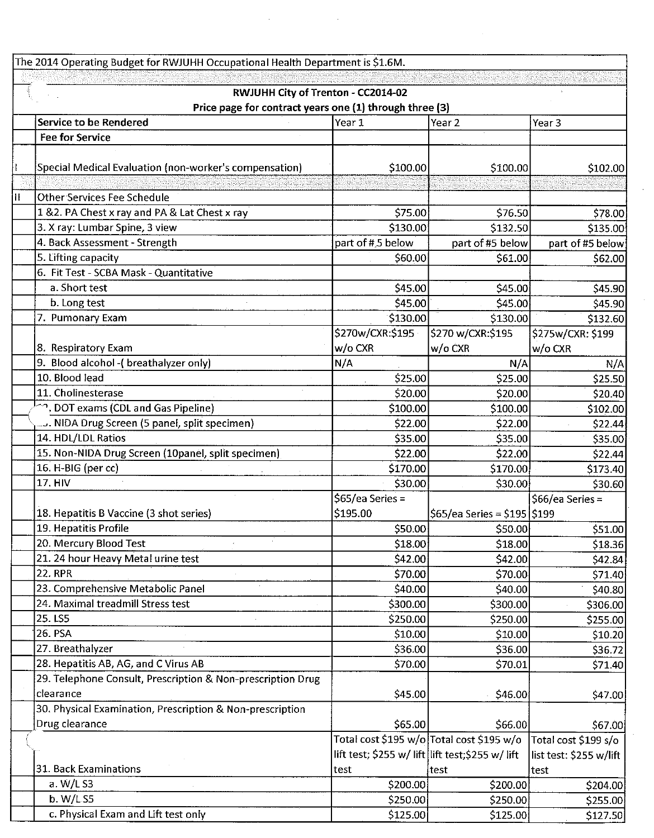The 2014 Operating Budget for RWJUHH Occupational Health Department is \$1.6M. RWJUHH City of Trenton - CC2014-02 Price page for contract years one (1) through three (3) Service to be Rendered Year 1 Year 2 Year<sub>3</sub> **Fee for Service** Special Medical Evaluation (non-worker's compensation) \$100.00 \$100.00 \$102.00 **Other Services Fee Schedule**  $\mathbf{H}$ 1 & 2. PA Chest x ray and PA & Lat Chest x ray \$75.00 \$76.50 \$78.00  $$132.50$ 3. X ray: Lumbar Spine, 3 view \$130.00 \$135.00 4. Back Assessment - Strength part of #.5 below part of #5 below part of #5 below 5. Lifting capacity \$60.00 \$61.00 \$62.00 6. Fit Test - SCBA Mask - Quantitative a. Short test \$45.00 \$45.00 \$45.90 b. Long test \$45.00 \$45.00 \$45.90 7. Pumonary Exam \$130.00 \$130.00 \$132.60 \$270w/CXR:\$195 \$270 w/CXR:\$195 \$275w/CXR: \$199 8. Respiratory Exam w/o CXR w/o CXR w/o CXR 9. Blood alcohol - (breathalyzer only)  $N/A$  $N/A$  $N/A$ 10. Blood lead \$25.00 \$25.00 \$25.50 11. Cholinesterase \$20.00 \$20.00 \$20.40 22, DOT exams (CDL and Gas Pipeline) \$100.00 \$100.00 \$102.00 ... NIDA Drug Screen (5 panel, split specimen) \$22.00 \$22.00 \$22.44 14. HDL/LDL Ratios \$35.00 \$35.00 \$35.00 15. Non-NIDA Drug Screen (10panel, split specimen) \$22.00 \$22.00 \$22.44 16. H-BIG (per cc) \$170.00 \$170.00 \$173.40 **17. HIV** \$30.00 \$30.00 \$30.60 \$65/ea Series = \$66/ea Series = 18. Hepatitis B Vaccine (3 shot series) \$195.00  $$65/ea$  Series = \$195 \$199 19. Hepatitis Profile \$50.00 \$50.00 \$51.00 20. Mercury Blood Test \$18.00 \$18.00 \$18.36 21. 24 hour Heavy Metal urine test \$42.00 \$42.00 S42.84 **22. RPR** \$70.00 \$70.00 S71.40 23. Comprehensive Metabolic Panel \$40.00 \$40.00 \$40.80 24. Maximal treadmill Stress test \$300.00 \$300.00 \$306.00 25. LS5 \$250.00 \$250.00 \$255.00 26. PSA \$10.00 \$10.00 \$10.20 27. Breathalyzer \$36.00 \$36.00 S36.72 28. Hepatitis AB, AG, and C Virus AB \$70.00 \$70.01 \$71.40 29. Telephone Consult, Prescription & Non-prescription Drug clearance \$45.00 \$46.00 \$47.00 30. Physical Examination, Prescription & Non-prescription Drug clearance  $$65.00$ \$66.00 \$67.00 Total cost \$195 w/o Total cost \$195 w/o Total cost \$199 s/o lift test; \$255 w/ lift lift test;\$255 w/ lift list test: \$255 w/lift 31. Back Examinations test test test a. W/L S3 \$200.00 \$200.00 \$204.00  $b. W/L.S5$ \$250.00 \$250.00 \$255.00 c. Physical Exam and Lift test only \$125.00 \$125.00 \$127.50